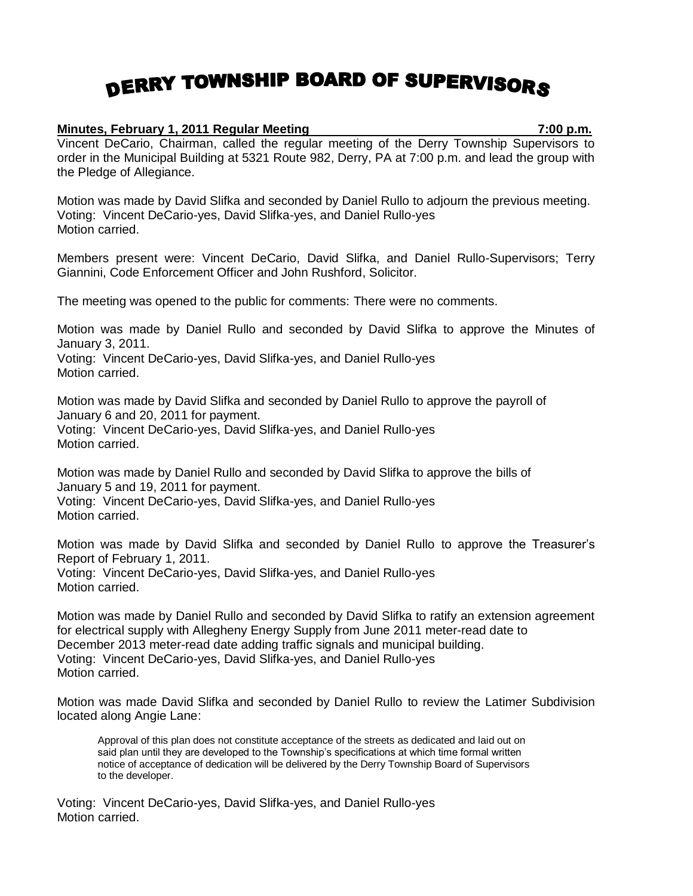## DERRY TOWNSHIP BOARD OF SUPERVISORS

## **Minutes, February 1, 2011 Regular Meeting 7:00 p.m.**

Vincent DeCario, Chairman, called the regular meeting of the Derry Township Supervisors to order in the Municipal Building at 5321 Route 982, Derry, PA at 7:00 p.m. and lead the group with the Pledge of Allegiance.

Motion was made by David Slifka and seconded by Daniel Rullo to adjourn the previous meeting. Voting: Vincent DeCario-yes, David Slifka-yes, and Daniel Rullo-yes Motion carried.

Members present were: Vincent DeCario, David Slifka, and Daniel Rullo-Supervisors; Terry Giannini, Code Enforcement Officer and John Rushford, Solicitor.

The meeting was opened to the public for comments: There were no comments.

Motion was made by Daniel Rullo and seconded by David Slifka to approve the Minutes of January 3, 2011.

Voting: Vincent DeCario-yes, David Slifka-yes, and Daniel Rullo-yes Motion carried.

Motion was made by David Slifka and seconded by Daniel Rullo to approve the payroll of January 6 and 20, 2011 for payment. Voting: Vincent DeCario-yes, David Slifka-yes, and Daniel Rullo-yes Motion carried.

Motion was made by Daniel Rullo and seconded by David Slifka to approve the bills of January 5 and 19, 2011 for payment. Voting: Vincent DeCario-yes, David Slifka-yes, and Daniel Rullo-yes Motion carried.

Motion was made by David Slifka and seconded by Daniel Rullo to approve the Treasurer's Report of February 1, 2011. Voting: Vincent DeCario-yes, David Slifka-yes, and Daniel Rullo-yes Motion carried.

Motion was made by Daniel Rullo and seconded by David Slifka to ratify an extension agreement for electrical supply with Allegheny Energy Supply from June 2011 meter-read date to December 2013 meter-read date adding traffic signals and municipal building. Voting: Vincent DeCario-yes, David Slifka-yes, and Daniel Rullo-yes Motion carried.

Motion was made David Slifka and seconded by Daniel Rullo to review the Latimer Subdivision located along Angie Lane:

Approval of this plan does not constitute acceptance of the streets as dedicated and laid out on said plan until they are developed to the Township's specifications at which time formal written notice of acceptance of dedication will be delivered by the Derry Township Board of Supervisors to the developer.

Voting: Vincent DeCario-yes, David Slifka-yes, and Daniel Rullo-yes Motion carried.